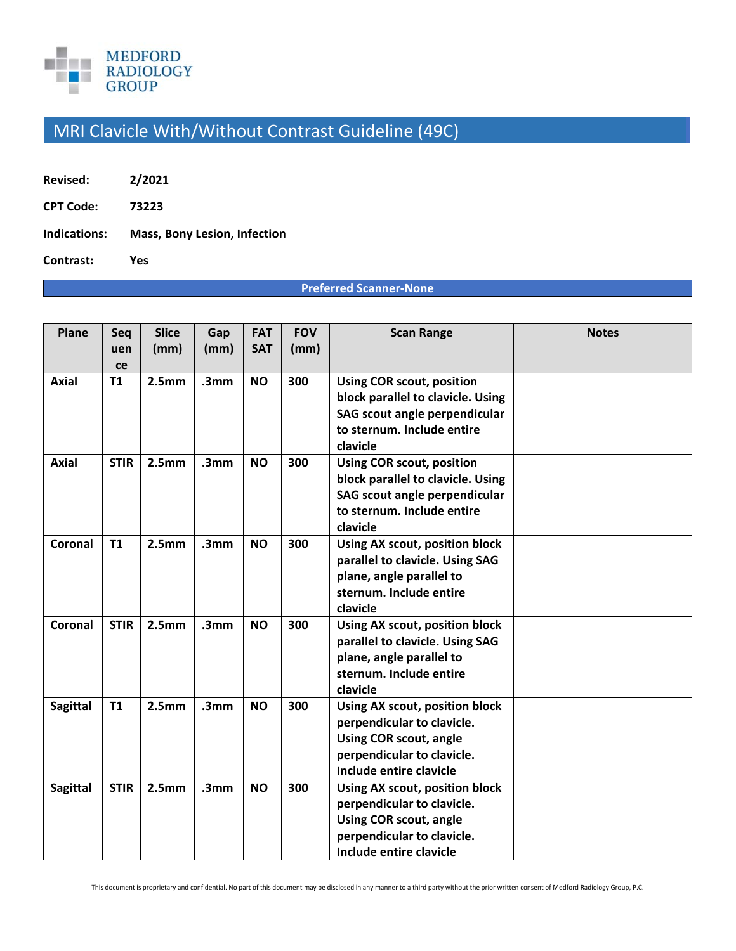

## MRI Clavicle With/Without Contrast Guideline (49C)

- **Revised: 2/2021**
- **CPT Code: 73223**
- **Indications: Mass, Bony Lesion, Infection**

**Contrast: Yes** 

## **Preferred Scanner‐None**

| Plane           | Seq<br>uen<br>ce | <b>Slice</b><br>(mm) | Gap<br>(mm)      | <b>FAT</b><br><b>SAT</b> | <b>FOV</b><br>(mm) | <b>Scan Range</b>                                                                                                                                      | <b>Notes</b> |
|-----------------|------------------|----------------------|------------------|--------------------------|--------------------|--------------------------------------------------------------------------------------------------------------------------------------------------------|--------------|
| <b>Axial</b>    | T1               | 2.5 <sub>mm</sub>    | .3 <sub>mm</sub> | <b>NO</b>                | 300                | <b>Using COR scout, position</b><br>block parallel to clavicle. Using<br>SAG scout angle perpendicular<br>to sternum. Include entire<br>clavicle       |              |
| <b>Axial</b>    | <b>STIR</b>      | 2.5 <sub>mm</sub>    | .3mm             | <b>NO</b>                | 300                | <b>Using COR scout, position</b><br>block parallel to clavicle. Using<br>SAG scout angle perpendicular<br>to sternum. Include entire<br>clavicle       |              |
| Coronal         | <b>T1</b>        | 2.5 <sub>mm</sub>    | .3 <sub>mm</sub> | <b>NO</b>                | 300                | Using AX scout, position block<br>parallel to clavicle. Using SAG<br>plane, angle parallel to<br>sternum. Include entire<br>clavicle                   |              |
| Coronal         | <b>STIR</b>      | 2.5 <sub>mm</sub>    | .3 <sub>mm</sub> | <b>NO</b>                | 300                | Using AX scout, position block<br>parallel to clavicle. Using SAG<br>plane, angle parallel to<br>sternum. Include entire<br>clavicle                   |              |
| <b>Sagittal</b> | T1               | 2.5 <sub>mm</sub>    | .3 <sub>mm</sub> | <b>NO</b>                | 300                | Using AX scout, position block<br>perpendicular to clavicle.<br><b>Using COR scout, angle</b><br>perpendicular to clavicle.<br>Include entire clavicle |              |
| <b>Sagittal</b> | <b>STIR</b>      | 2.5mm                | .3 <sub>mm</sub> | <b>NO</b>                | 300                | Using AX scout, position block<br>perpendicular to clavicle.<br><b>Using COR scout, angle</b><br>perpendicular to clavicle.<br>Include entire clavicle |              |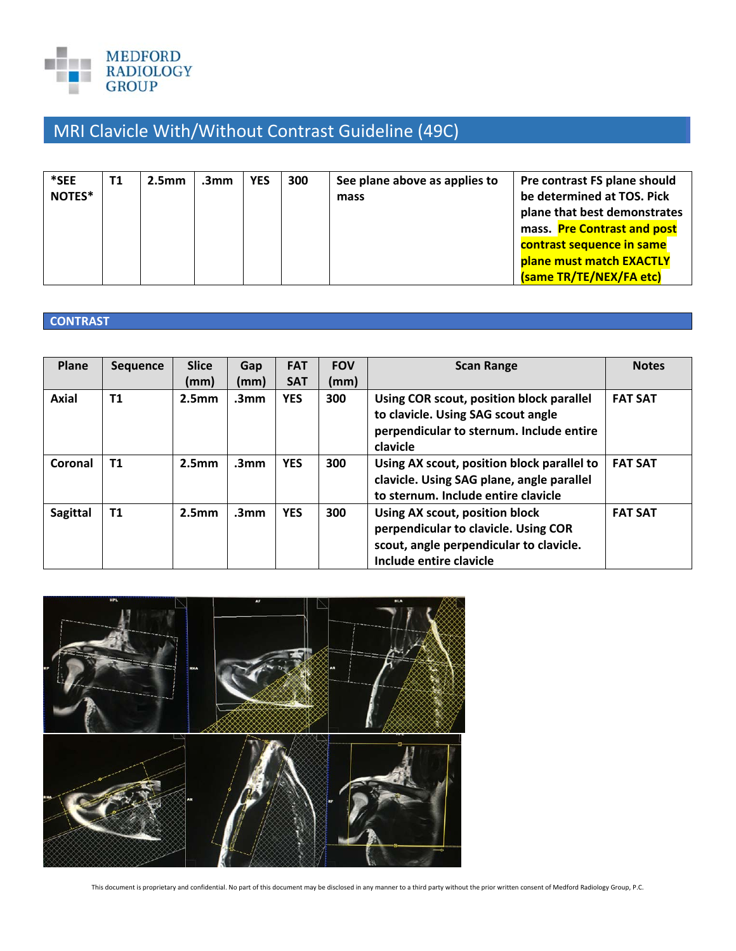

## MRI Clavicle With/Without Contrast Guideline (49C)

| *SEE<br>NOTES* | <b>T1</b><br>2.5 <sub>mm</sub> | .3mm | 300<br><b>YES</b> | See plane above as applies to<br>mass | Pre contrast FS plane should<br>be determined at TOS. Pick<br>plane that best demonstrates<br>mass. Pre Contrast and post<br>contrast sequence in same<br>plane must match EXACTLY<br>(same TR/TE/NEX/FA etc) |
|----------------|--------------------------------|------|-------------------|---------------------------------------|---------------------------------------------------------------------------------------------------------------------------------------------------------------------------------------------------------------|
|----------------|--------------------------------|------|-------------------|---------------------------------------|---------------------------------------------------------------------------------------------------------------------------------------------------------------------------------------------------------------|

## **CONTRAST**

| Plane           | <b>Sequence</b> | <b>Slice</b>      | Gap              | <b>FAT</b> | <b>FOV</b> | <b>Scan Range</b>                                                                                                                            | <b>Notes</b>   |
|-----------------|-----------------|-------------------|------------------|------------|------------|----------------------------------------------------------------------------------------------------------------------------------------------|----------------|
|                 |                 | (mm)              | (mm)             | <b>SAT</b> | (mm)       |                                                                                                                                              |                |
| <b>Axial</b>    | T1              | 2.5 <sub>mm</sub> | .3 <sub>mm</sub> | <b>YES</b> | 300        | Using COR scout, position block parallel<br>to clavicle. Using SAG scout angle<br>perpendicular to sternum. Include entire<br>clavicle       | <b>FAT SAT</b> |
| Coronal         | T1              | 2.5 <sub>mm</sub> | .3 <sub>mm</sub> | <b>YES</b> | 300        | Using AX scout, position block parallel to<br>clavicle. Using SAG plane, angle parallel<br>to sternum. Include entire clavicle               | <b>FAT SAT</b> |
| <b>Sagittal</b> | T <sub>1</sub>  | 2.5 <sub>mm</sub> | .3 <sub>mm</sub> | <b>YES</b> | 300        | Using AX scout, position block<br>perpendicular to clavicle. Using COR<br>scout, angle perpendicular to clavicle.<br>Include entire clavicle | <b>FAT SAT</b> |



This document is proprietary and confidential. No part of this document may be disclosed in any manner to a third party without the prior written consent of Medford Radiology Group, P.C.